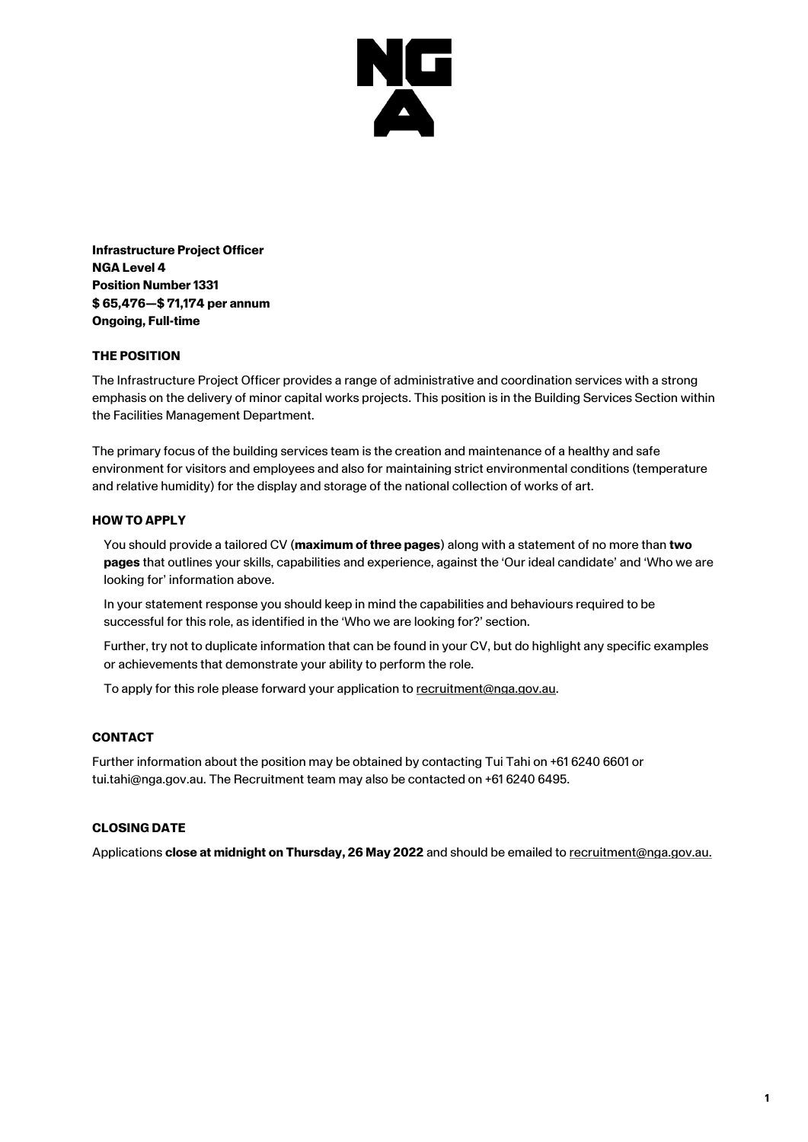

**Infrastructure Project Officer NGA Level 4 Position Number1331 \$ 65,476—\$ 71,174 per annum Ongoing, Full-time**

## **THE POSITION**

The Infrastructure Project Officer provides a range of administrative and coordination services with a strong emphasis on the delivery of minor capital works projects. This position is in the Building Services Section within the Facilities Management Department.

The primary focus of the building services team is the creation and maintenance of a healthy and safe environment for visitors and employees and also for maintaining strict environmental conditions (temperature and relative humidity) for the display and storage of the national collection of works of art.

#### **HOW TO APPLY**

You should provide a tailored CV (**maximum of three pages**) along with a statement of no more than **two pages** that outlines your skills, capabilities and experience, against the 'Our ideal candidate' and 'Who we are looking for' information above.

In your statement response you should keep in mind the capabilities and behaviours required to be successful for this role, as identified in the 'Who we are looking for?' section.

Further, try not to duplicate information that can be found in your CV, but do highlight any specific examples or achievements that demonstrate your ability to perform the role.

To apply for this role please forward your application to [recruitment@nga.gov.au.](mailto:recruitment@nga.gov.au)

# **CONTACT**

Further information about the position may be obtained by contacting Tui Tahi on +61 6240 6601 or tui.tahi@nga.gov.au. The Recruitment team may also be contacted on +61 6240 6495.

# **CLOSING DATE**

Applications **close at midnight on Thursday, 26 May 2022** and should be emailed t[o recruitment@nga.gov.au.](file://///NGAVFS02/Groups/PubAffairs/29.%20Studio%20Ongarato/__REBRAND/HR/recruitment@nga.gov.au)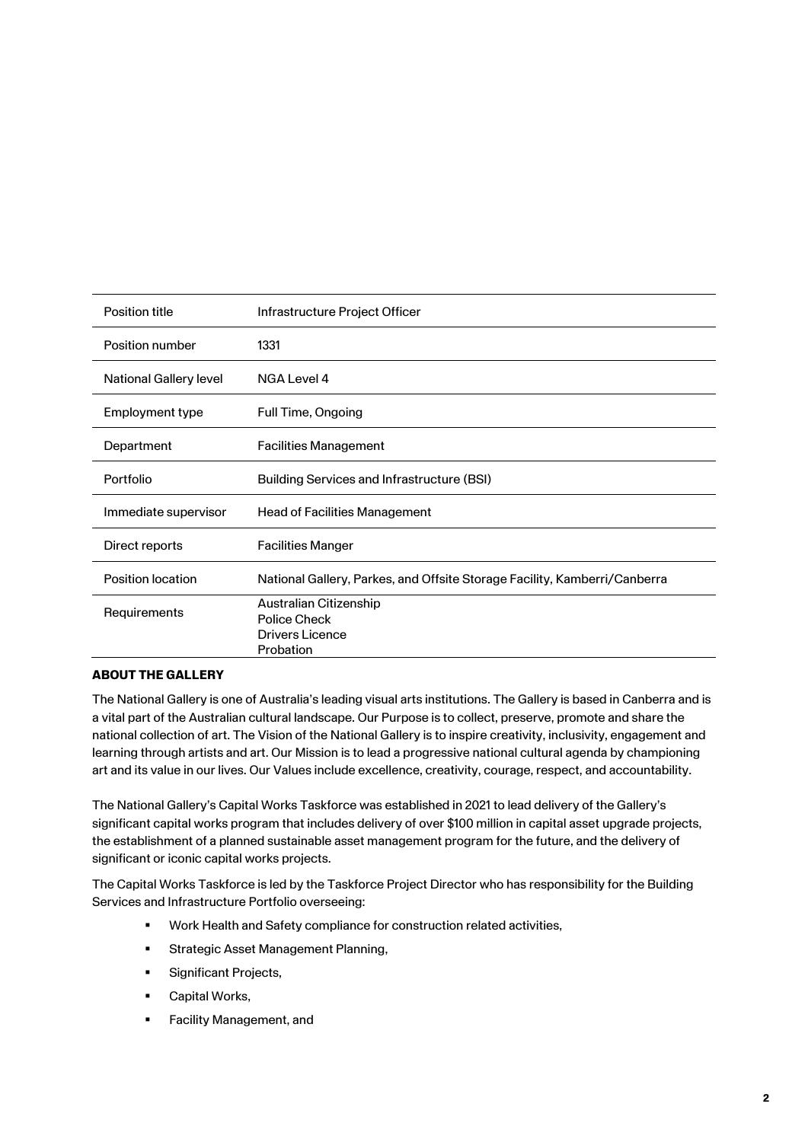| Position title                | Infrastructure Project Officer                                            |
|-------------------------------|---------------------------------------------------------------------------|
| Position number               | 1331                                                                      |
| <b>National Gallery level</b> | NGA Level 4                                                               |
| Employment type               | Full Time, Ongoing                                                        |
| Department                    | <b>Facilities Management</b>                                              |
| Portfolio                     | <b>Building Services and Infrastructure (BSI)</b>                         |
| Immediate supervisor          | <b>Head of Facilities Management</b>                                      |
| Direct reports                | <b>Facilities Manger</b>                                                  |
| <b>Position location</b>      | National Gallery, Parkes, and Offsite Storage Facility, Kamberri/Canberra |
| <b>Requirements</b>           | Australian Citizenship<br>Police Check<br>Drivers Licence<br>Probation    |

# **ABOUT THE GALLERY**

The National Gallery is one of Australia's leading visual arts institutions. The Gallery is based in Canberra and is a vital part of the Australian cultural landscape. Our Purpose is to collect, preserve, promote and share the national collection of art. The Vision of the National Gallery is to inspire creativity, inclusivity, engagement and learning through artists and art. Our Mission is to lead a progressive national cultural agenda by championing art and its value in our lives. Our Values include excellence, creativity, courage, respect, and accountability.

The National Gallery's Capital Works Taskforce was established in 2021 to lead delivery of the Gallery's significant capital works program that includes delivery of over \$100 million in capital asset upgrade projects, the establishment of a planned sustainable asset management program for the future, and the delivery of significant or iconic capital works projects.

The Capital Works Taskforce is led by the Taskforce Project Director who has responsibility for the Building Services and Infrastructure Portfolio overseeing:

- Work Health and Safety compliance for construction related activities,
- **EXECUTE: Strategic Asset Management Planning,**
- Significant Projects,
- Capital Works,
- Facility Management, and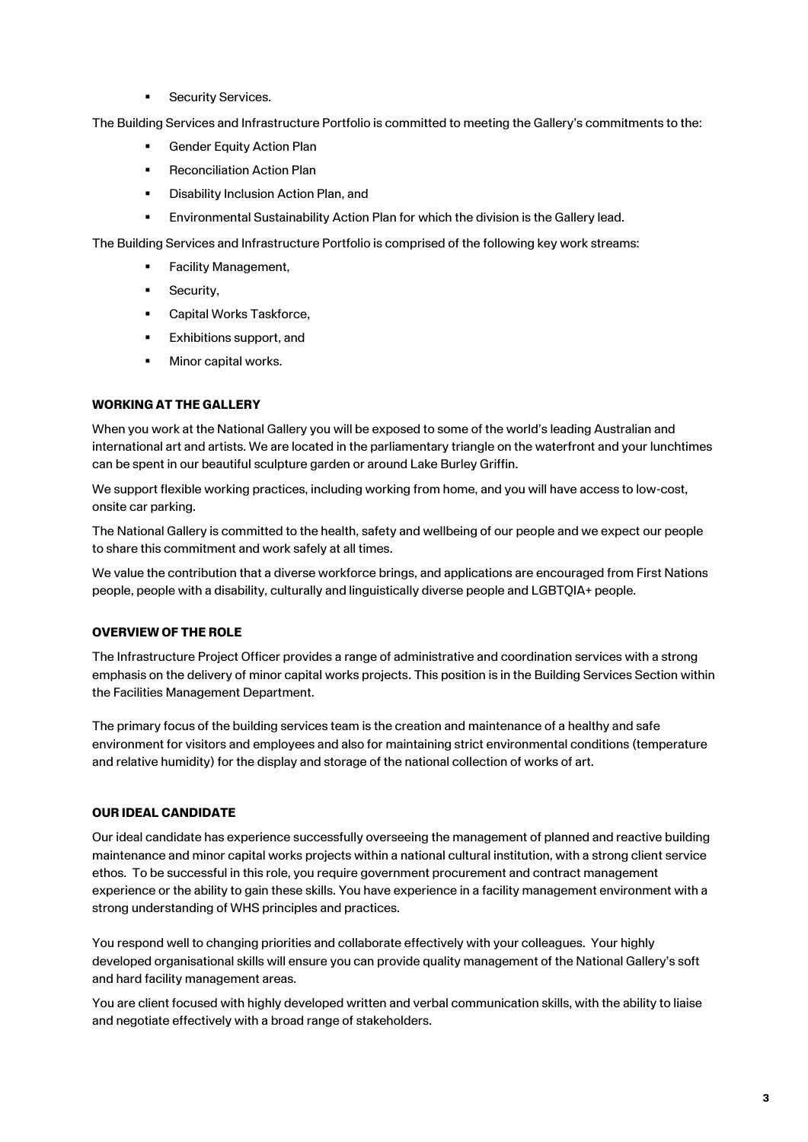**E** Security Services.

The Building Services and Infrastructure Portfolio is committed to meeting the Gallery's commitments to the:

- Gender Equity Action Plan
- Reconciliation Action Plan
- **■** Disability Inclusion Action Plan, and
- **Environmental Sustainability Action Plan for which the division is the Gallery lead.**

The Building Services and Infrastructure Portfolio is comprised of the following key work streams:

- **Facility Management,**
- **■** Security,
- Capital Works Taskforce,
- Exhibitions support, and
- Minor capital works.

## **WORKING AT THE GALLERY**

When you work at the National Gallery you will be exposed to some of the world's leading Australian and international art and artists. We are located in the parliamentary triangle on the waterfront and your lunchtimes can be spent in our beautiful sculpture garden or around Lake Burley Griffin.

We support flexible working practices, including working from home, and you will have access to low-cost, onsite car parking.

The National Gallery is committed to the health, safety and wellbeing of our people and we expect our people to share this commitment and work safely at all times.

We value the contribution that a diverse workforce brings, and applications are encouraged from First Nations people, people with a disability, culturally and linguistically diverse people and LGBTQIA+ people.

#### **OVERVIEW OF THE ROLE**

The Infrastructure Project Officer provides a range of administrative and coordination services with a strong emphasis on the delivery of minor capital works projects. This position is in the Building Services Section within the Facilities Management Department.

The primary focus of the building services team is the creation and maintenance of a healthy and safe environment for visitors and employees and also for maintaining strict environmental conditions (temperature and relative humidity) for the display and storage of the national collection of works of art.

#### **OUR IDEAL CANDIDATE**

Our ideal candidate has experience successfully overseeing the management of planned and reactive building maintenance and minor capital works projects within a national cultural institution, with a strong client service ethos. To be successful in this role, you require government procurement and contract management experience or the ability to gain these skills. You have experience in a facility management environment with a strong understanding of WHS principles and practices.

You respond well to changing priorities and collaborate effectively with your colleagues. Your highly developed organisational skills will ensure you can provide quality management of the National Gallery's soft and hard facility management areas.

You are client focused with highly developed written and verbal communication skills, with the ability to liaise and negotiate effectively with a broad range of stakeholders.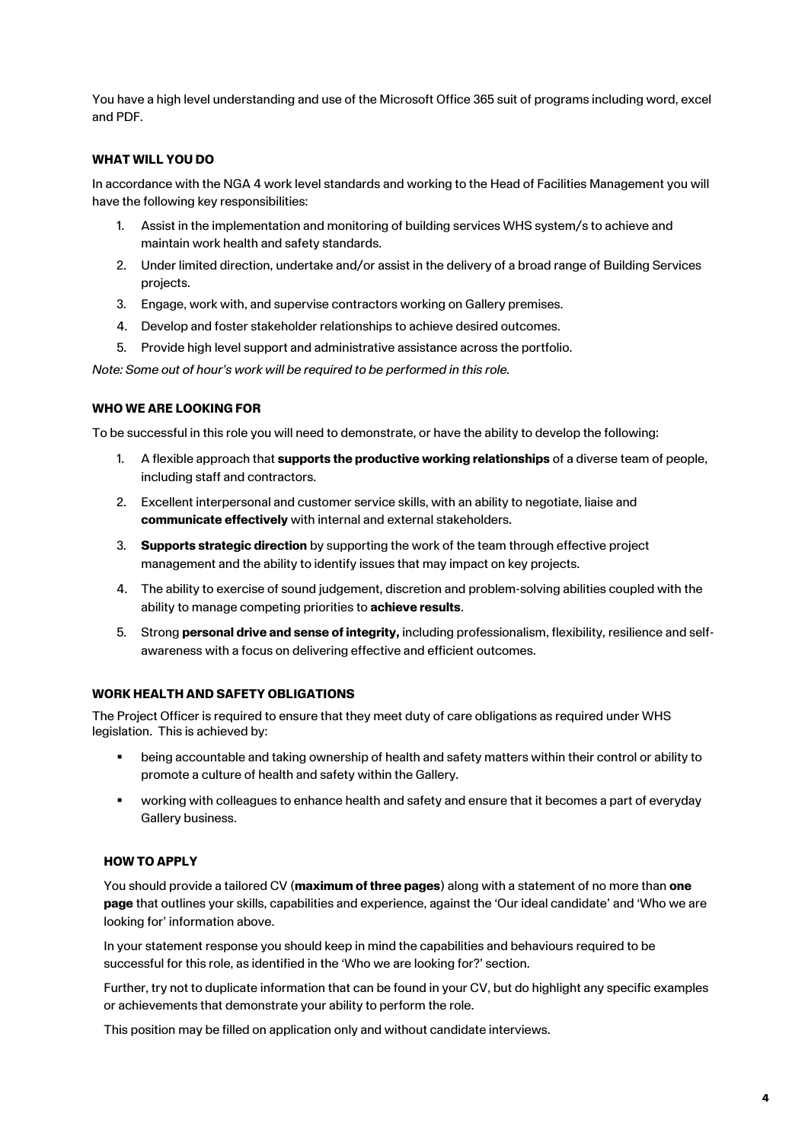You have a high level understanding and use of the Microsoft Office 365 suit of programs including word, excel and PDF.

## **WHAT WILL YOU DO**

In accordance with the NGA 4 work level standards and working to the Head of Facilities Management you will have the following key responsibilities:

- 1. Assist in the implementation and monitoring of building services WHS system/s to achieve and maintain work health and safety standards.
- 2. Under limited direction, undertake and/or assist in the delivery of a broad range of Building Services projects.
- 3. Engage, work with, and supervise contractors working on Gallery premises.
- 4. Develop and foster stakeholder relationships to achieve desired outcomes.
- 5. Provide high level support and administrative assistance across the portfolio.

*Note: Some out of hour's work will be required to be performed in this role.* 

## **WHO WE ARE LOOKING FOR**

To be successful in this role you will need to demonstrate, or have the ability to develop the following:

- 1. A flexible approach that **supports the productive working relationships** of a diverse team of people, including staff and contractors.
- 2. Excellent interpersonal and customer service skills, with an ability to negotiate, liaise and **communicate effectively** with internal and external stakeholders.
- 3. **Supports strategic direction** by supporting the work of the team through effective project management and the ability to identify issues that may impact on key projects.
- 4. The ability to exercise of sound judgement, discretion and problem-solving abilities coupled with the ability to manage competing priorities to **achieve results**.
- 5. Strong **personal drive and sense of integrity,** including professionalism, flexibility, resilience and selfawareness with a focus on delivering effective and efficient outcomes.

#### **WORK HEALTH AND SAFETY OBLIGATIONS**

The Project Officer is required to ensure that they meet duty of care obligations as required under WHS legislation. This is achieved by:

- being accountable and taking ownership of health and safety matters within their control or ability to promote a culture of health and safety within the Gallery.
- working with colleagues to enhance health and safety and ensure that it becomes a part of everyday Gallery business.

# **HOW TO APPLY**

You should provide a tailored CV (**maximum of three pages**) along with a statement of no more than **one page** that outlines your skills, capabilities and experience, against the 'Our ideal candidate' and 'Who we are looking for' information above.

In your statement response you should keep in mind the capabilities and behaviours required to be successful for this role, as identified in the 'Who we are looking for?' section.

Further, try not to duplicate information that can be found in your CV, but do highlight any specific examples or achievements that demonstrate your ability to perform the role.

This position may be filled on application only and without candidate interviews.